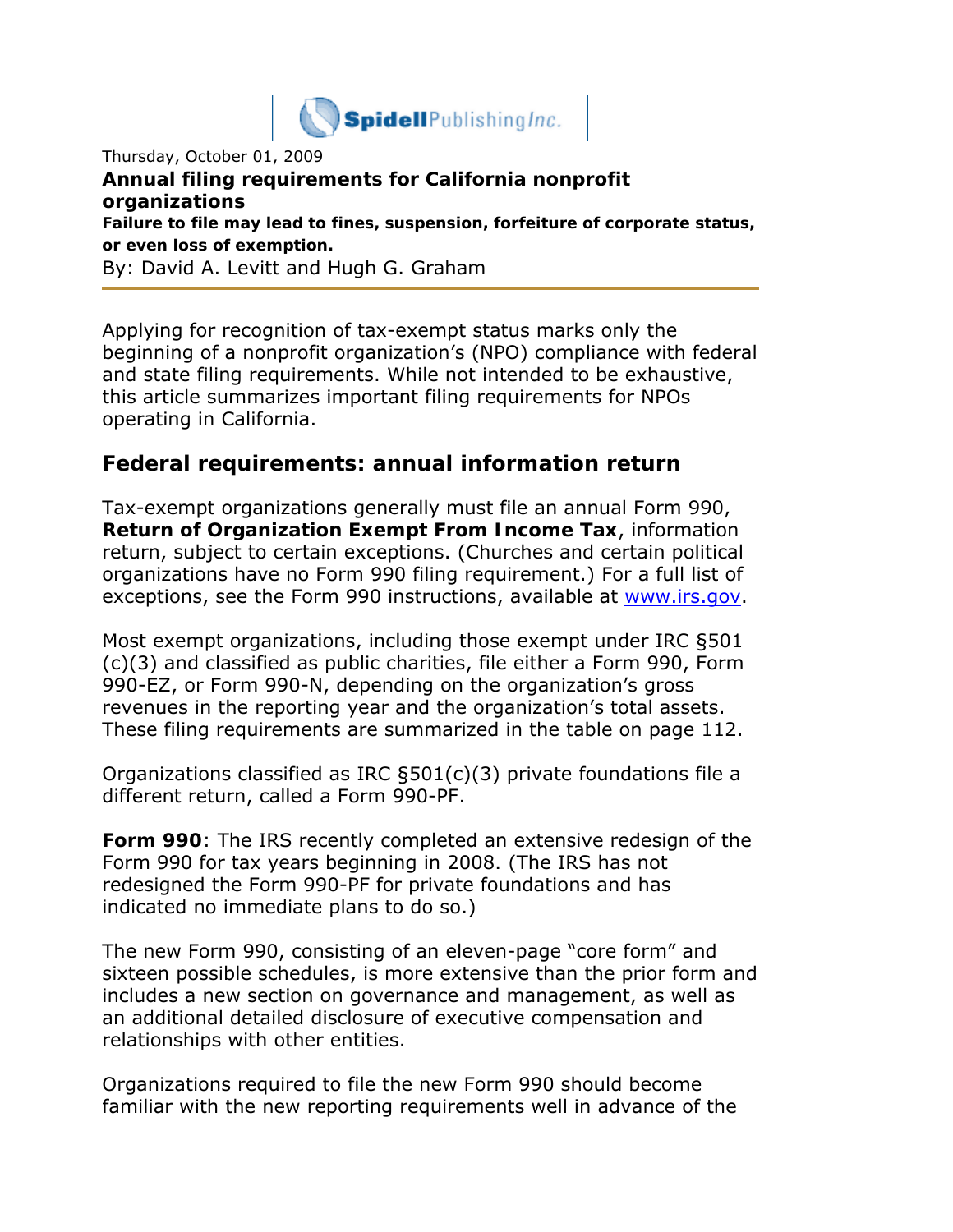

Thursday, October 01, 2009 **Annual filing requirements for California nonprofit organizations** *Failure to file may lead to fines, suspension, forfeiture of corporate status, or even loss of exemption.* By: David A. Levitt and Hugh G. Graham

Applying for recognition of tax-exempt status marks only the beginning of a nonprofit organization's (NPO) compliance with federal and state filing requirements. While not intended to be exhaustive, this article summarizes important filing requirements for NPOs operating in California.

### **Federal requirements: annual information return**

Tax-exempt organizations generally must file an annual Form 990, **Return of Organization Exempt From Income Tax**, information return, subject to certain exceptions. (Churches and certain political organizations have no Form 990 filing requirement.) For a full list of exceptions, see the Form 990 instructions, available at www.irs.gov.

Most exempt organizations, including those exempt under IRC §501 (c)(3) and classified as public charities, file either a Form 990, Form 990-EZ, or Form 990-N, depending on the organization's gross revenues in the reporting year and the organization's total assets. These filing requirements are summarized in the table on page 112.

Organizations classified as IRC §501(c)(3) private foundations file a different return, called a Form 990-PF.

**Form 990**: The IRS recently completed an extensive redesign of the Form 990 for tax years beginning in 2008. (The IRS has not redesigned the Form 990-PF for private foundations and has indicated no immediate plans to do so.)

The new Form 990, consisting of an eleven-page "core form" and sixteen possible schedules, is more extensive than the prior form and includes a new section on governance and management, as well as an additional detailed disclosure of executive compensation and relationships with other entities.

Organizations required to file the new Form 990 should become familiar with the new reporting requirements well in advance of the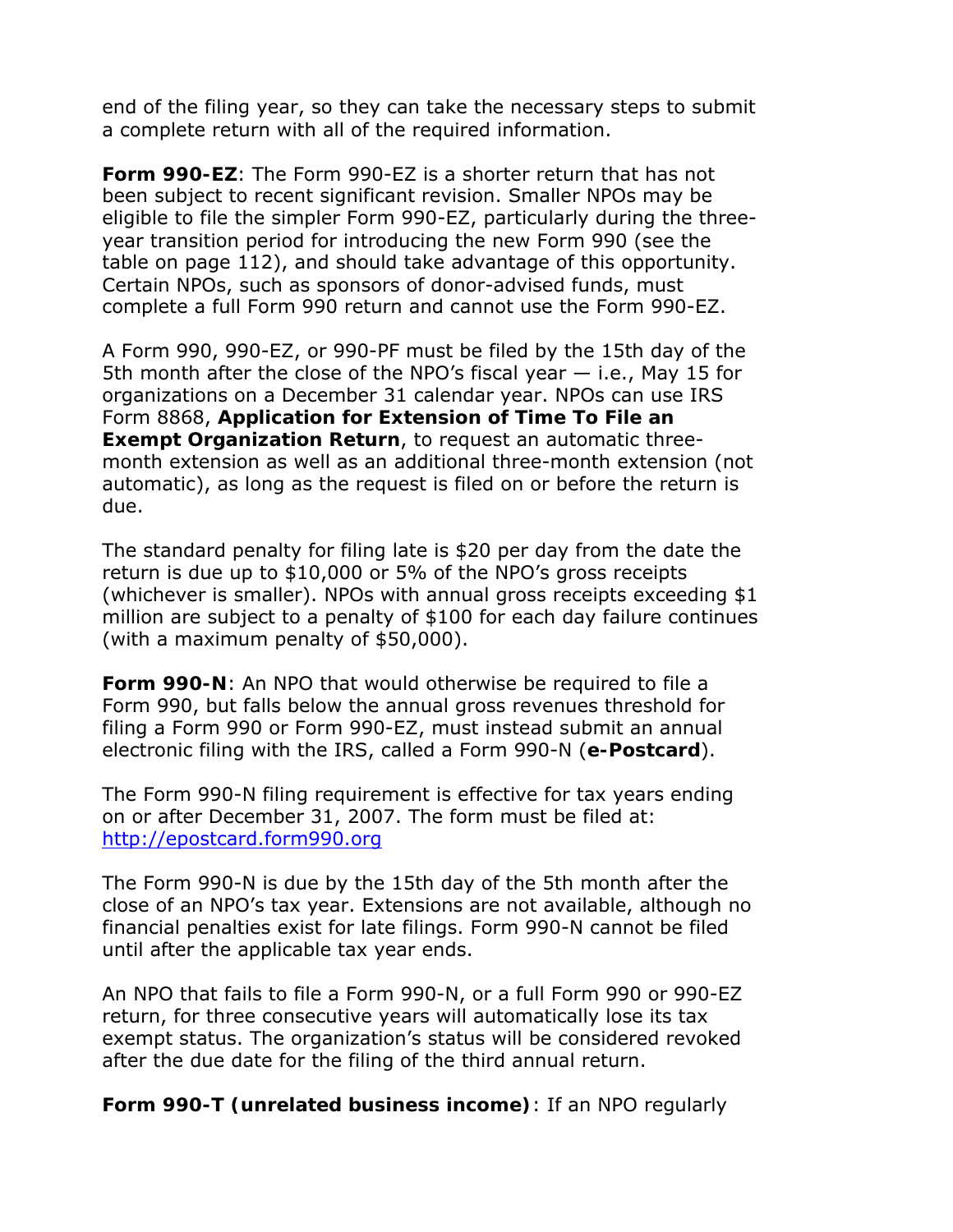end of the filing year, so they can take the necessary steps to submit a complete return with all of the required information.

**Form 990-EZ**: The Form 990-EZ is a shorter return that has not been subject to recent significant revision. Smaller NPOs may be eligible to file the simpler Form 990-EZ, particularly during the threeyear transition period for introducing the new Form 990 (see the table on page 112), and should take advantage of this opportunity. Certain NPOs, such as sponsors of donor-advised funds, must complete a full Form 990 return and cannot use the Form 990-EZ.

A Form 990, 990-EZ, or 990-PF must be filed by the 15th day of the 5th month after the close of the NPO's fiscal year — i.e., May 15 for organizations on a December 31 calendar year. NPOs can use IRS Form 8868, **Application for Extension of Time To File an Exempt Organization Return**, to request an automatic threemonth extension as well as an additional three-month extension (not automatic), as long as the request is filed on or before the return is due.

The standard penalty for filing late is \$20 per day from the date the return is due up to \$10,000 or 5% of the NPO's gross receipts (whichever is smaller). NPOs with annual gross receipts exceeding \$1 million are subject to a penalty of \$100 for each day failure continues (with a maximum penalty of \$50,000).

**Form 990-N**: An NPO that would otherwise be required to file a Form 990, but falls below the annual gross revenues threshold for filing a Form 990 or Form 990-EZ, must instead submit an annual electronic filing with the IRS, called a Form 990-N (**e-Postcard**).

The Form 990-N filing requirement is effective for tax years ending on or after December 31, 2007. The form must be filed at: http://epostcard.form990.org

The Form 990-N is due by the 15th day of the 5th month after the close of an NPO's tax year. Extensions are not available, although no financial penalties exist for late filings. Form 990-N cannot be filed until after the applicable tax year ends.

An NPO that fails to file a Form 990-N, or a full Form 990 or 990-EZ return, for three consecutive years will automatically lose its tax exempt status. The organization's status will be considered revoked after the due date for the filing of the third annual return.

**Form 990-T (unrelated business income)**: If an NPO regularly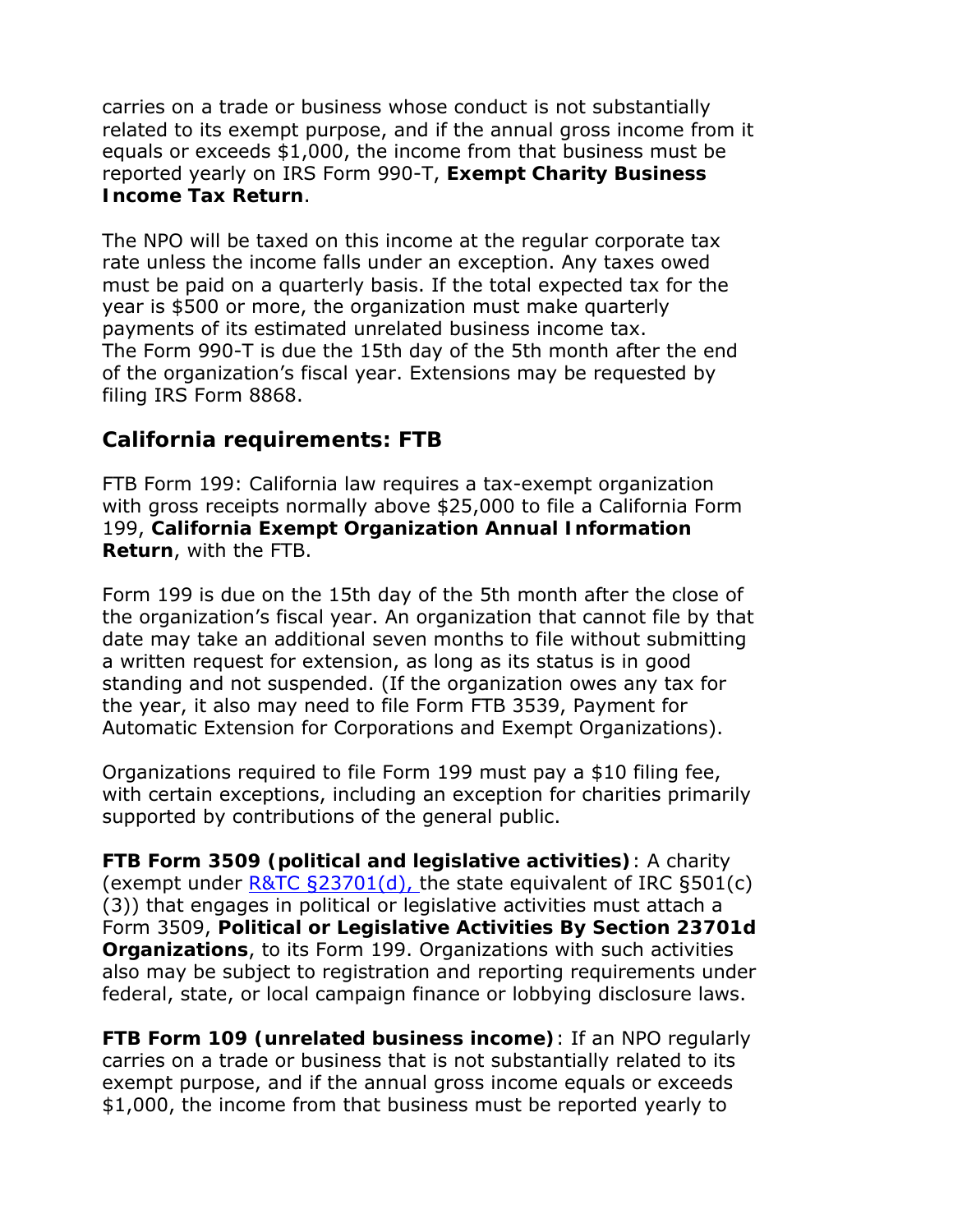carries on a trade or business whose conduct is not substantially related to its exempt purpose, and if the annual gross income from it equals or exceeds \$1,000, the income from that business must be reported yearly on IRS Form 990-T, **Exempt Charity Business Income Tax Return**.

The NPO will be taxed on this income at the regular corporate tax rate unless the income falls under an exception. Any taxes owed must be paid on a quarterly basis. If the total expected tax for the year is \$500 or more, the organization must make quarterly payments of its estimated unrelated business income tax. The Form 990-T is due the 15th day of the 5th month after the end of the organization's fiscal year. Extensions may be requested by filing IRS Form 8868.

# **California requirements: FTB**

FTB Form 199: California law requires a tax-exempt organization with gross receipts normally above \$25,000 to file a California Form 199, **California Exempt Organization Annual Information Return**, with the FTB.

Form 199 is due on the 15th day of the 5th month after the close of the organization's fiscal year. An organization that cannot file by that date may take an additional seven months to file without submitting a written request for extension, as long as its status is in good standing and not suspended. (If the organization owes any tax for the year, it also may need to file Form FTB 3539, Payment for Automatic Extension for Corporations and Exempt Organizations).

Organizations required to file Form 199 must pay a \$10 filing fee, with certain exceptions, including an exception for charities primarily supported by contributions of the general public.

**FTB Form 3509 (political and legislative activities)**: A charity (exempt under R&TC §23701(d), the state equivalent of IRC §501(c) (3)) that engages in political or legislative activities must attach a Form 3509, **Political or Legislative Activities By Section 23701d Organizations**, to its Form 199. Organizations with such activities also may be subject to registration and reporting requirements under federal, state, or local campaign finance or lobbying disclosure laws.

**FTB Form 109 (unrelated business income)**: If an NPO regularly carries on a trade or business that is not substantially related to its exempt purpose, and if the annual gross income equals or exceeds \$1,000, the income from that business must be reported yearly to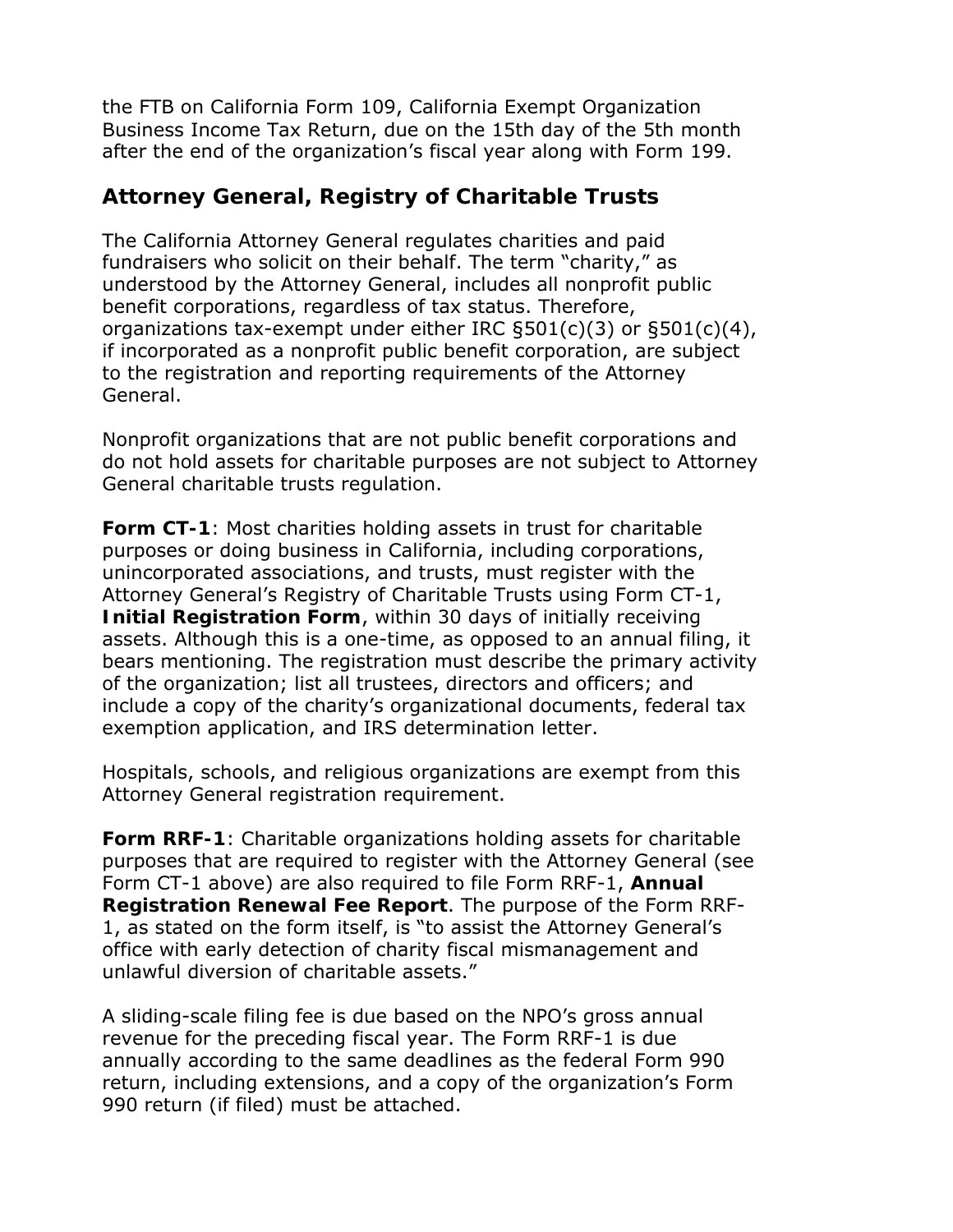the FTB on California Form 109, California Exempt Organization Business Income Tax Return, due on the 15th day of the 5th month after the end of the organization's fiscal year along with Form 199.

# **Attorney General, Registry of Charitable Trusts**

The California Attorney General regulates charities and paid fundraisers who solicit on their behalf. The term "charity," as understood by the Attorney General, includes all nonprofit public benefit corporations, regardless of tax status. Therefore, organizations tax-exempt under either IRC §501(c)(3) or §501(c)(4), if incorporated as a nonprofit public benefit corporation, are subject to the registration and reporting requirements of the Attorney General.

Nonprofit organizations that are not public benefit corporations and do not hold assets for charitable purposes are not subject to Attorney General charitable trusts regulation.

**Form CT-1**: Most charities holding assets in trust for charitable purposes or doing business in California, including corporations, unincorporated associations, and trusts, must register with the Attorney General's Registry of Charitable Trusts using Form CT-1, **Initial Registration Form**, within 30 days of initially receiving assets. Although this is a one-time, as opposed to an annual filing, it bears mentioning. The registration must describe the primary activity of the organization; list all trustees, directors and officers; and include a copy of the charity's organizational documents, federal tax exemption application, and IRS determination letter.

Hospitals, schools, and religious organizations are exempt from this Attorney General registration requirement.

**Form RRF-1**: Charitable organizations holding assets for charitable purposes that are required to register with the Attorney General (see Form CT-1 above) are also required to file Form RRF-1, **Annual Registration Renewal Fee Report**. The purpose of the Form RRF-1, as stated on the form itself, is "to assist the Attorney General's office with early detection of charity fiscal mismanagement and unlawful diversion of charitable assets."

A sliding-scale filing fee is due based on the NPO's gross annual revenue for the preceding fiscal year. The Form RRF-1 is due annually according to the same deadlines as the federal Form 990 return, including extensions, and a copy of the organization's Form 990 return (if filed) must be attached.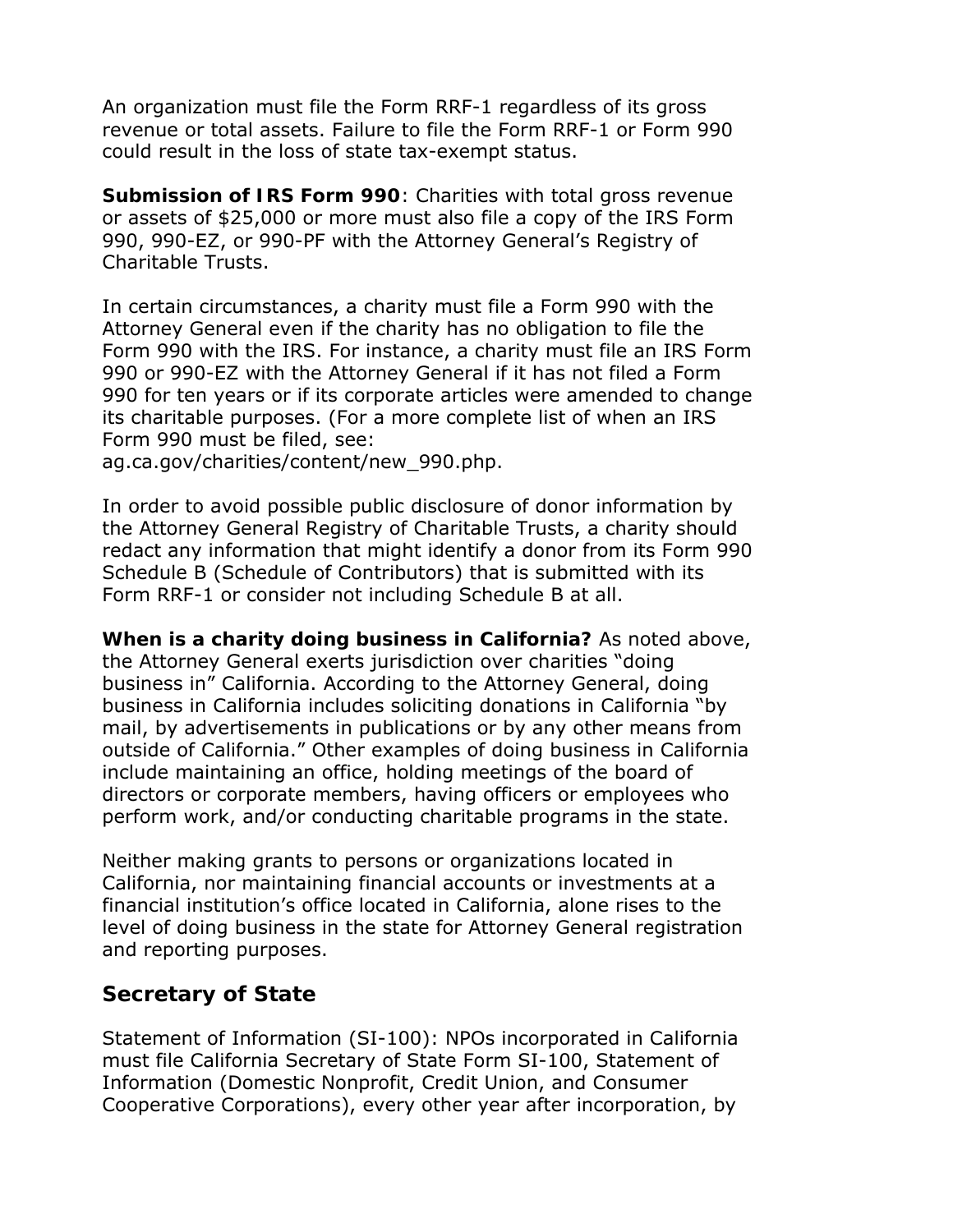An organization must file the Form RRF-1 regardless of its gross revenue or total assets. Failure to file the Form RRF-1 or Form 990 could result in the loss of state tax-exempt status.

**Submission of IRS Form 990**: Charities with total gross revenue or assets of \$25,000 or more must also file a copy of the IRS Form 990, 990-EZ, or 990-PF with the Attorney General's Registry of Charitable Trusts.

In certain circumstances, a charity must file a Form 990 with the Attorney General even if the charity has no obligation to file the Form 990 with the IRS. For instance, a charity must file an IRS Form 990 or 990-EZ with the Attorney General if it has not filed a Form 990 for ten years or if its corporate articles were amended to change its charitable purposes. (For a more complete list of when an IRS Form 990 must be filed, see:

ag.ca.gov/charities/content/new\_990.php.

In order to avoid possible public disclosure of donor information by the Attorney General Registry of Charitable Trusts, a charity should redact any information that might identify a donor from its Form 990 Schedule B (Schedule of Contributors) that is submitted with its Form RRF-1 or consider not including Schedule B at all.

**When is a charity doing business in California?** As noted above, the Attorney General exerts jurisdiction over charities "doing business in" California. According to the Attorney General, doing business in California includes soliciting donations in California "by mail, by advertisements in publications or by any other means from outside of California." Other examples of doing business in California include maintaining an office, holding meetings of the board of directors or corporate members, having officers or employees who perform work, and/or conducting charitable programs in the state.

Neither making grants to persons or organizations located in California, nor maintaining financial accounts or investments at a financial institution's office located in California, alone rises to the level of doing business in the state for Attorney General registration and reporting purposes.

# **Secretary of State**

Statement of Information (SI-100): NPOs incorporated in California must file California Secretary of State Form SI-100, Statement of Information (Domestic Nonprofit, Credit Union, and Consumer Cooperative Corporations), every other year after incorporation, by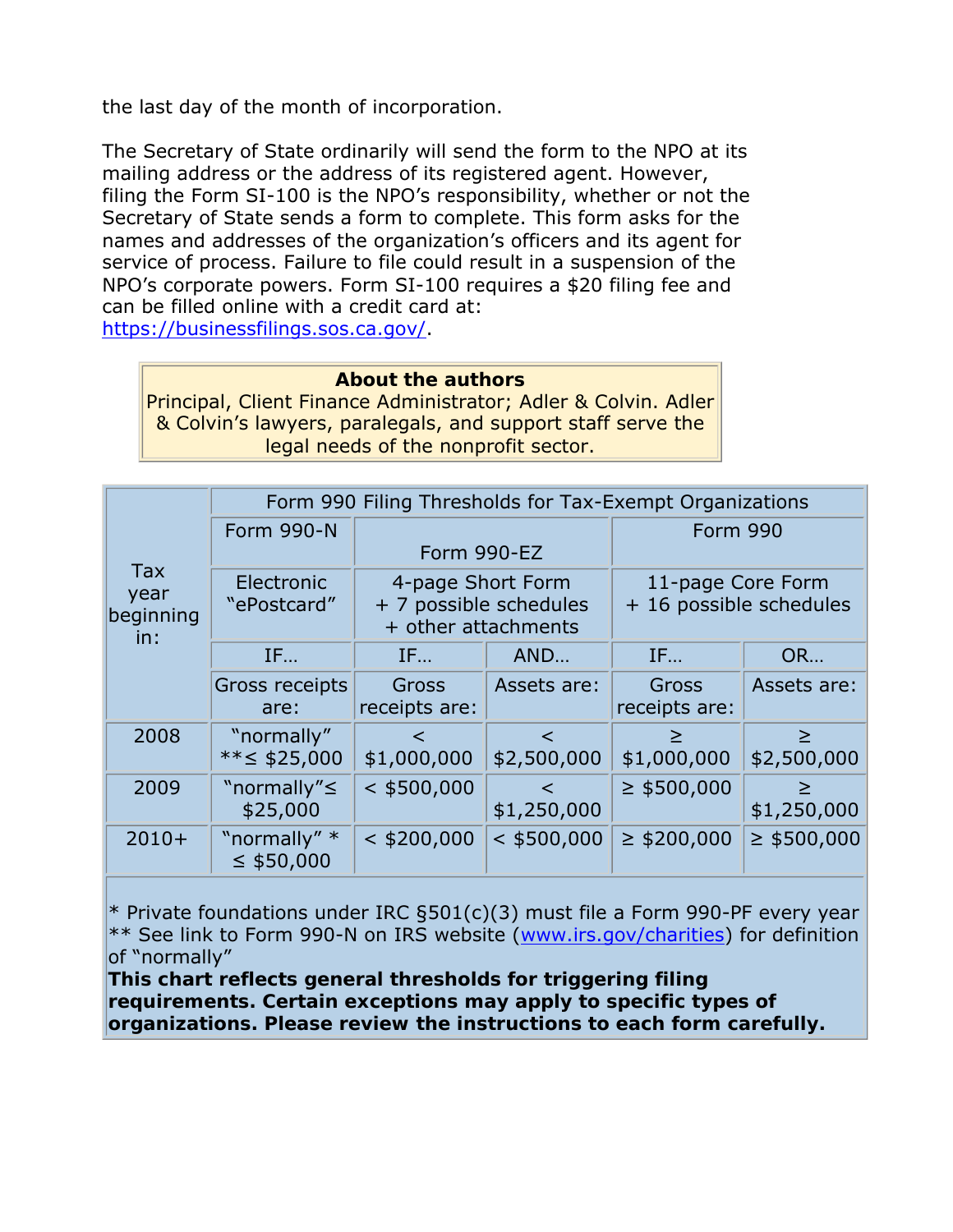the last day of the month of incorporation.

The Secretary of State ordinarily will send the form to the NPO at its mailing address or the address of its registered agent. However, filing the Form SI-100 is the NPO's responsibility, whether or not the Secretary of State sends a form to complete. This form asks for the names and addresses of the organization's officers and its agent for service of process. Failure to file could result in a suspension of the NPO's corporate powers. Form SI-100 requires a \$20 filing fee and can be filled online with a credit card at: https://businessfilings.sos.ca.gov/.

#### **About the authors**

Principal, Client Finance Administrator; Adler & Colvin. Adler & Colvin's lawyers, paralegals, and support staff serve the legal needs of the nonprofit sector.

| <b>Tax</b><br>year<br>beginning<br>in: | Form 990 Filing Thresholds for Tax-Exempt Organizations |                                                                    |                      |                                              |                       |
|----------------------------------------|---------------------------------------------------------|--------------------------------------------------------------------|----------------------|----------------------------------------------|-----------------------|
|                                        | <b>Form 990-N</b>                                       | Form 990-EZ                                                        |                      | <b>Form 990</b>                              |                       |
|                                        | Electronic<br>"ePostcard"                               | 4-page Short Form<br>+ 7 possible schedules<br>+ other attachments |                      | 11-page Core Form<br>+ 16 possible schedules |                       |
|                                        | IF                                                      | IF                                                                 | AND                  | IF                                           | <b>OR</b>             |
|                                        | Gross receipts<br>are:                                  | Gross<br>receipts are:                                             | Assets are:          | Gross<br>receipts are:                       | Assets are:           |
| 2008                                   | "normally"<br>** $\leq$ \$25,000                        | $\prec$<br>\$1,000,000                                             | $\lt$<br>\$2,500,000 | ≥<br>\$1,000,000                             | $\geq$<br>\$2,500,000 |
| 2009                                   | "normally" ≤<br>\$25,000                                | $<$ \$500,000                                                      | $\lt$<br>\$1,250,000 | $\geq$ \$500,000                             | $\geq$<br>\$1,250,000 |
| $2010+$                                | "normally" *<br>$\leq$ \$50,000                         | $<$ \$200,000                                                      | $<$ \$500,000        | $\geq$ \$200,000                             | $\geq$ \$500,000      |

\* Private foundations under IRC §501(c)(3) must file a Form 990-PF every year \*\* See link to Form 990-N on IRS website (www.irs.gov/charities) for definition of "normally"

**This chart reflects general thresholds for triggering filing requirements. Certain exceptions may apply to specific types of organizations. Please review the instructions to each form carefully.**